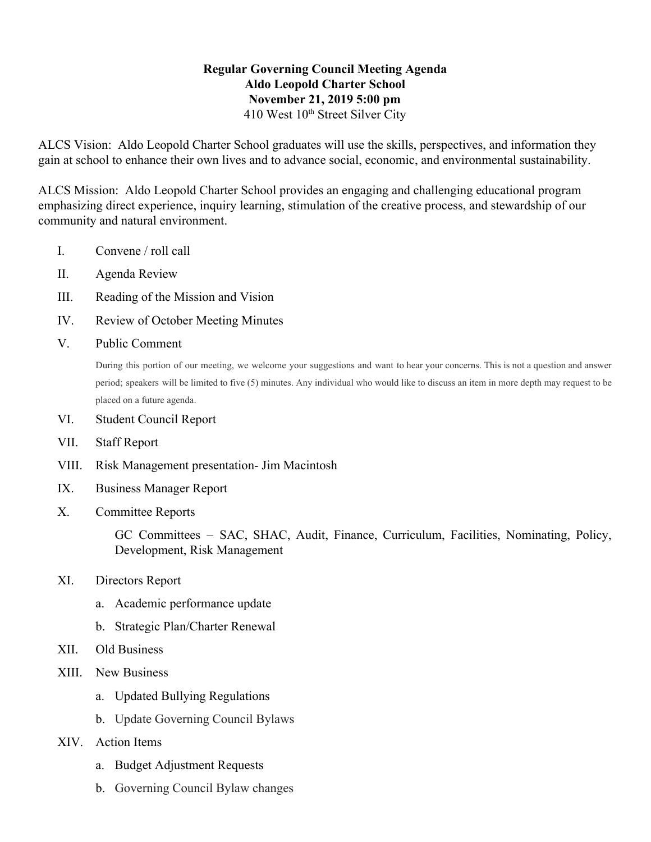## **Regular Governing Council Meeting Agenda Aldo Leopold Charter School November 21, 2019 5:00 pm** 410 West 10<sup>th</sup> Street Silver City

ALCS Vision: Aldo Leopold Charter School graduates will use the skills, perspectives, and information they gain at school to enhance their own lives and to advance social, economic, and environmental sustainability.

ALCS Mission: Aldo Leopold Charter School provides an engaging and challenging educational program emphasizing direct experience, inquiry learning, stimulation of the creative process, and stewardship of our community and natural environment.

- I. Convene / roll call
- II. Agenda Review
- III. Reading of the Mission and Vision
- IV. Review of October Meeting Minutes
- V. Public Comment

During this portion of our meeting, we welcome your suggestions and want to hear your concerns. This is not a question and answer period; speakers will be limited to five (5) minutes. Any individual who would like to discuss an item in more depth may request to be placed on a future agenda.

- VI. Student Council Report
- VII. Staff Report
- VIII. Risk Management presentation- Jim Macintosh
- IX. Business Manager Report
- X. Committee Reports

GC Committees – SAC, SHAC, Audit, Finance, Curriculum, Facilities, Nominating, Policy, Development, Risk Management

- XI. Directors Report
	- a. Academic performance update
	- b. Strategic Plan/Charter Renewal
- XII. Old Business
- XIII. New Business
	- a. Updated Bullying Regulations
	- b. Update Governing Council Bylaws
- XIV. Action Items
	- a. Budget Adjustment Requests
	- b. Governing Council Bylaw changes